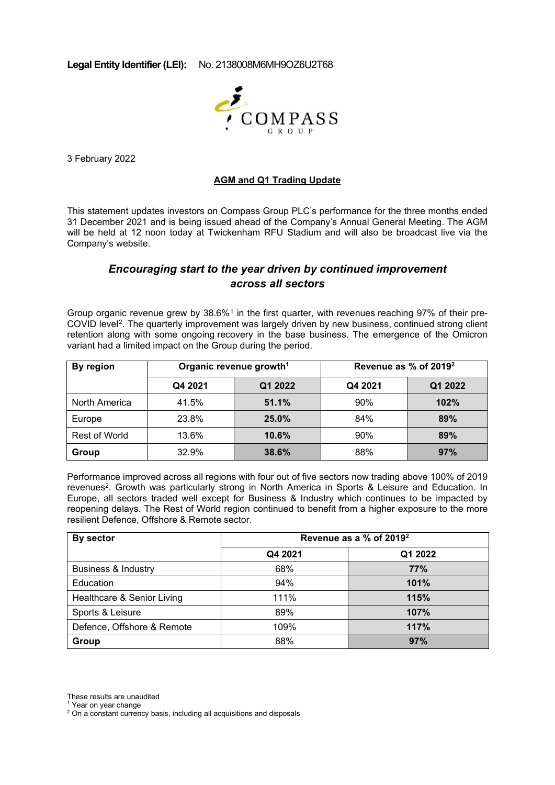**Legal Entity Identifier (LEI):** No. 2138008M6MH9OZ6U2T68



3 February 2022

## **AGM and Q1 Trading Update**

This statement updates investors on Compass Group PLC's performance for the three months ended 31 December 2021 and is being issued ahead of the Company's Annual General Meeting. The AGM will be held at 12 noon today at Twickenham RFU Stadium and will also be broadcast live via the Company's website.

# *Encouraging start to the year driven by continued improvement across all sectors*

Group organic revenue grew by 38.6%<sup>[1](#page-0-0)</sup> in the first quarter, with revenues reaching 97% of their pre-COVID level[2](#page-0-1). The quarterly improvement was largely driven by new business, continued strong client retention along with some ongoing recovery in the base business. The emergence of the Omicron variant had a limited impact on the Group during the period.

| By region     | Organic revenue growth <sup>1</sup> |         | Revenue as $%$ of 2019 $2$ |         |
|---------------|-------------------------------------|---------|----------------------------|---------|
|               | Q4 2021                             | Q1 2022 | Q4 2021                    | Q1 2022 |
| North America | 41.5%                               | 51.1%   | 90%                        | 102%    |
| Europe        | 23.8%                               | 25.0%   | 84%                        | 89%     |
| Rest of World | 13.6%                               | 10.6%   | 90%                        | 89%     |
| Group         | 32.9%                               | 38.6%   | 88%                        | 97%     |

Performance improved across all regions with four out of five sectors now trading above 100% of 2019 revenues<sup>2</sup>. Growth was particularly strong in North America in Sports & Leisure and Education. In Europe, all sectors traded well except for Business & Industry which continues to be impacted by reopening delays. The Rest of World region continued to benefit from a higher exposure to the more resilient Defence, Offshore & Remote sector.

| By sector                      | Revenue as a % of 2019 <sup>2</sup> |         |  |
|--------------------------------|-------------------------------------|---------|--|
|                                | Q4 2021                             | Q1 2022 |  |
| <b>Business &amp; Industry</b> | 68%                                 | 77%     |  |
| Education                      | 94%                                 | 101%    |  |
| Healthcare & Senior Living     | 111%                                | 115%    |  |
| Sports & Leisure               | 89%                                 | 107%    |  |
| Defence, Offshore & Remote     | 109%                                | 117%    |  |
| Group                          | 88%                                 | 97%     |  |

These results are unaudited

<span id="page-0-0"></span><sup>1</sup> Year on year change

<span id="page-0-1"></span>2 On a constant currency basis, including all acquisitions and disposals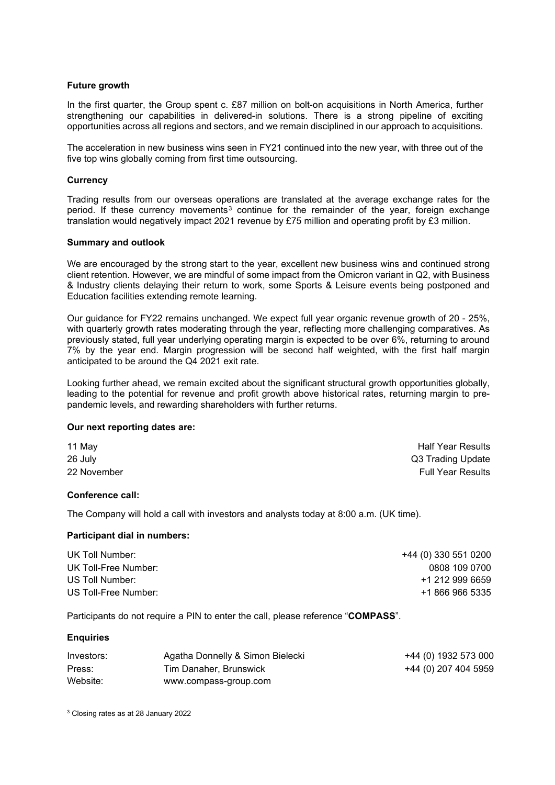## **Future growth**

In the first quarter, the Group spent c. £87 million on bolt-on acquisitions in North America, further strengthening our capabilities in delivered-in solutions. There is a strong pipeline of exciting opportunities across all regions and sectors, and we remain disciplined in our approach to acquisitions.

The acceleration in new business wins seen in FY21 continued into the new year, with three out of the five top wins globally coming from first time outsourcing.

### **Currency**

Trading results from our overseas operations are translated at the average exchange rates for the period. If these currency movements<sup>[3](#page-1-0)</sup> continue for the remainder of the year, foreign exchange translation would negatively impact 2021 revenue by £75 million and operating profit by £3 million.

#### **Summary and outlook**

We are encouraged by the strong start to the year, excellent new business wins and continued strong client retention. However, we are mindful of some impact from the Omicron variant in Q2, with Business & Industry clients delaying their return to work, some Sports & Leisure events being postponed and Education facilities extending remote learning.

Our guidance for FY22 remains unchanged. We expect full year organic revenue growth of 20 - 25%, with quarterly growth rates moderating through the year, reflecting more challenging comparatives. As previously stated, full year underlying operating margin is expected to be over 6%, returning to around 7% by the year end. Margin progression will be second half weighted, with the first half margin anticipated to be around the Q4 2021 exit rate.

Looking further ahead, we remain excited about the significant structural growth opportunities globally, leading to the potential for revenue and profit growth above historical rates, returning margin to prepandemic levels, and rewarding shareholders with further returns.

#### **Our next reporting dates are:**

| 11 May      | <b>Half Year Results</b> |
|-------------|--------------------------|
| 26 July     | Q3 Trading Update        |
| 22 November | Full Year Results        |

## **Conference call:**

The Company will hold a call with investors and analysts today at 8:00 a.m. (UK time).

#### **Participant dial in numbers:**

| UK Toll Number:      | +44 (0) 330 551 0200 |
|----------------------|----------------------|
| UK Toll-Free Number: | 0808 109 0700        |
| US Toll Number:      | +1 212 999 6659      |
| US Toll-Free Number: | +1 866 966 5335      |

Participants do not require a PIN to enter the call, please reference "**COMPASS**".

#### **Enquiries**

| Investors: | Agatha Donnelly & Simon Bielecki | +44 (0) 1932 573 000 |
|------------|----------------------------------|----------------------|
| Press:     | Tim Danaher, Brunswick           | +44 (0) 207 404 5959 |
| Website:   | www.compass-group.com            |                      |

<span id="page-1-0"></span><sup>3</sup> Closing rates as at 28 January 2022